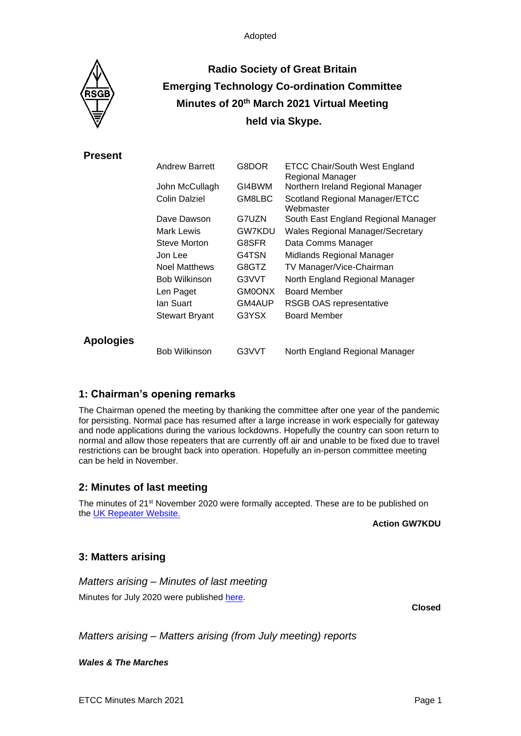

# **Radio Society of Great Britain Emerging Technology Co-ordination Committee Minutes of 20 th March 2021 Virtual Meeting held via Skype.**

**Present**

|                  | <b>Andrew Barrett</b> | G8DOR  | <b>ETCC Chair/South West England</b><br>Regional Manager |
|------------------|-----------------------|--------|----------------------------------------------------------|
|                  | John McCullagh        | GI4BWM | Northern Ireland Regional Manager                        |
|                  | Colin Dalziel         | GM8LBC | Scotland Regional Manager/ETCC<br>Webmaster              |
|                  | Dave Dawson           | G7UZN  | South East England Regional Manager                      |
|                  | Mark Lewis            | GW7KDU | <b>Wales Regional Manager/Secretary</b>                  |
|                  | Steve Morton          | G8SFR  | Data Comms Manager                                       |
|                  | Jon Lee               | G4TSN  | Midlands Regional Manager                                |
|                  | <b>Noel Matthews</b>  | G8GTZ  | TV Manager/Vice-Chairman                                 |
|                  | <b>Bob Wilkinson</b>  | G3VVT  | North England Regional Manager                           |
|                  | Len Paget             | GM0ONX | <b>Board Member</b>                                      |
|                  | lan Suart.            | GM4AUP | <b>RSGB OAS representative</b>                           |
|                  | <b>Stewart Bryant</b> | G3YSX  | <b>Board Member</b>                                      |
| <b>Apologies</b> |                       |        |                                                          |
|                  | <b>Bob Wilkinson</b>  | G3VVT  | North England Regional Manager                           |

### **1: Chairman's opening remarks**

The Chairman opened the meeting by thanking the committee after one year of the pandemic for persisting. Normal pace has resumed after a large increase in work especially for gateway and node applications during the various lockdowns. Hopefully the country can soon return to normal and allow those repeaters that are currently off air and unable to be fixed due to travel restrictions can be brought back into operation. Hopefully an in-person committee meeting can be held in November.

### **2: Minutes of last meeting**

The minutes of 21st November 2020 were formally accepted. These are to be published on the [UK Repeater Website.](https://www.ukrepeater.net/minutes.html)

**Action GW7KDU**

### **3: Matters arising**

*Matters arising – Minutes of last meeting*

Minutes for July 2020 were published [here.](https://ukrepeater.net/doc_files/mins2003.pdf)

**Closed**

*Matters arising – Matters arising (from July meeting) reports*

*Wales & The Marches*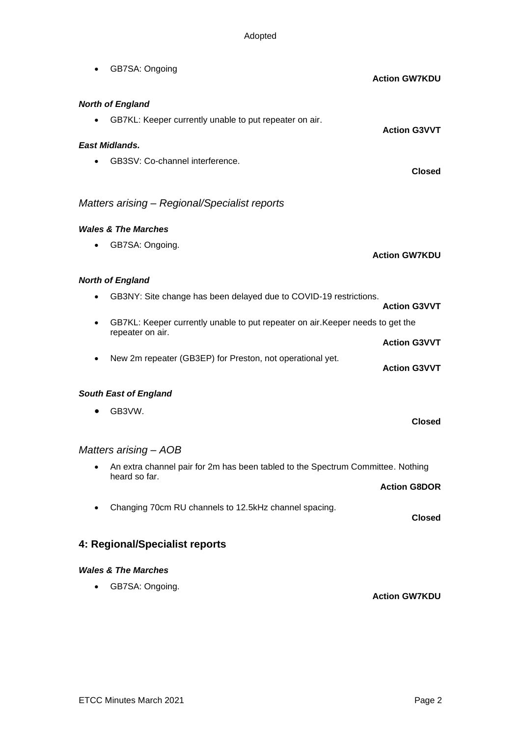|                                               | GB7SA: Ongoing                                                                                     | <b>Action GW7KDU</b> |  |  |  |
|-----------------------------------------------|----------------------------------------------------------------------------------------------------|----------------------|--|--|--|
| <b>North of England</b>                       |                                                                                                    |                      |  |  |  |
|                                               | GB7KL: Keeper currently unable to put repeater on air.                                             | <b>Action G3VVT</b>  |  |  |  |
| <b>East Midlands.</b>                         |                                                                                                    |                      |  |  |  |
|                                               | GB3SV: Co-channel interference.                                                                    | <b>Closed</b>        |  |  |  |
| Matters arising - Regional/Specialist reports |                                                                                                    |                      |  |  |  |
|                                               | <b>Wales &amp; The Marches</b>                                                                     |                      |  |  |  |
|                                               | GB7SA: Ongoing.                                                                                    | <b>Action GW7KDU</b> |  |  |  |
| <b>North of England</b>                       |                                                                                                    |                      |  |  |  |
|                                               | GB3NY: Site change has been delayed due to COVID-19 restrictions.                                  | <b>Action G3VVT</b>  |  |  |  |
| ٠                                             | GB7KL: Keeper currently unable to put repeater on air. Keeper needs to get the<br>repeater on air. |                      |  |  |  |
|                                               |                                                                                                    | <b>Action G3VVT</b>  |  |  |  |
| $\bullet$                                     | New 2m repeater (GB3EP) for Preston, not operational yet.                                          | <b>Action G3VVT</b>  |  |  |  |
|                                               | <b>South East of England</b>                                                                       |                      |  |  |  |
|                                               | GB3VW.                                                                                             | <b>Closed</b>        |  |  |  |
| Matters arising – AOB                         |                                                                                                    |                      |  |  |  |
|                                               | An extra channel pair for 2m has been tabled to the Spectrum Committee. Nothing                    |                      |  |  |  |
|                                               | heard so far.                                                                                      | <b>Action G8DOR</b>  |  |  |  |
| ٠                                             | Changing 70cm RU channels to 12.5kHz channel spacing.                                              | <b>Closed</b>        |  |  |  |
| 4: Regional/Specialist reports                |                                                                                                    |                      |  |  |  |
|                                               | <b>Wales &amp; The Marches</b>                                                                     |                      |  |  |  |
|                                               | GB7SA: Ongoing.                                                                                    | <b>Action GW7KDU</b> |  |  |  |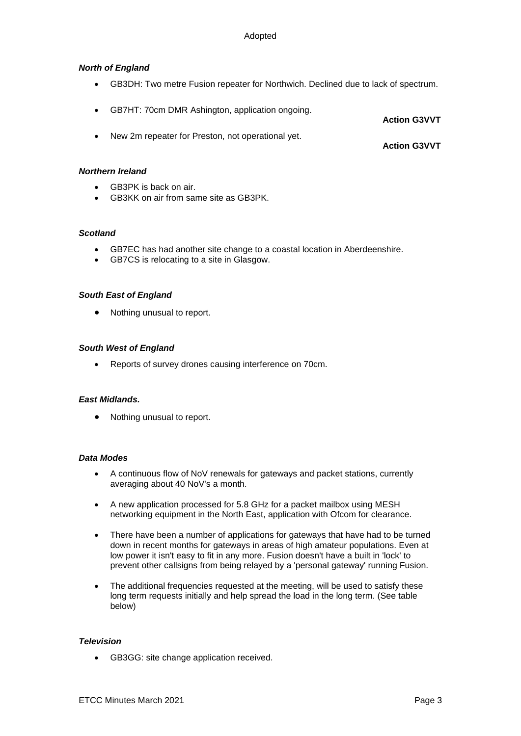### *North of England*

- GB3DH: Two metre Fusion repeater for Northwich. Declined due to lack of spectrum.
- GB7HT: 70cm DMR Ashington, application ongoing. **Action G3VVT**
- New 2m repeater for Preston, not operational yet. **Action G3VVT**

#### *Northern Ireland*

- GB3PK is back on air.
- GB3KK on air from same site as GB3PK.

#### *Scotland*

- GB7EC has had another site change to a coastal location in Aberdeenshire.
- GB7CS is relocating to a site in Glasgow.

#### *South East of England*

• Nothing unusual to report.

#### *South West of England*

• Reports of survey drones causing interference on 70cm.

#### *East Midlands.*

• Nothing unusual to report.

#### *Data Modes*

- A continuous flow of NoV renewals for gateways and packet stations, currently averaging about 40 NoV's a month.
- A new application processed for 5.8 GHz for a packet mailbox using MESH networking equipment in the North East, application with Ofcom for clearance.
- There have been a number of applications for gateways that have had to be turned down in recent months for gateways in areas of high amateur populations. Even at low power it isn't easy to fit in any more. Fusion doesn't have a built in 'lock' to prevent other callsigns from being relayed by a 'personal gateway' running Fusion.
- The additional frequencies requested at the meeting, will be used to satisfy these long term requests initially and help spread the load in the long term. (See table below)

#### *Television*

• GB3GG: site change application received.